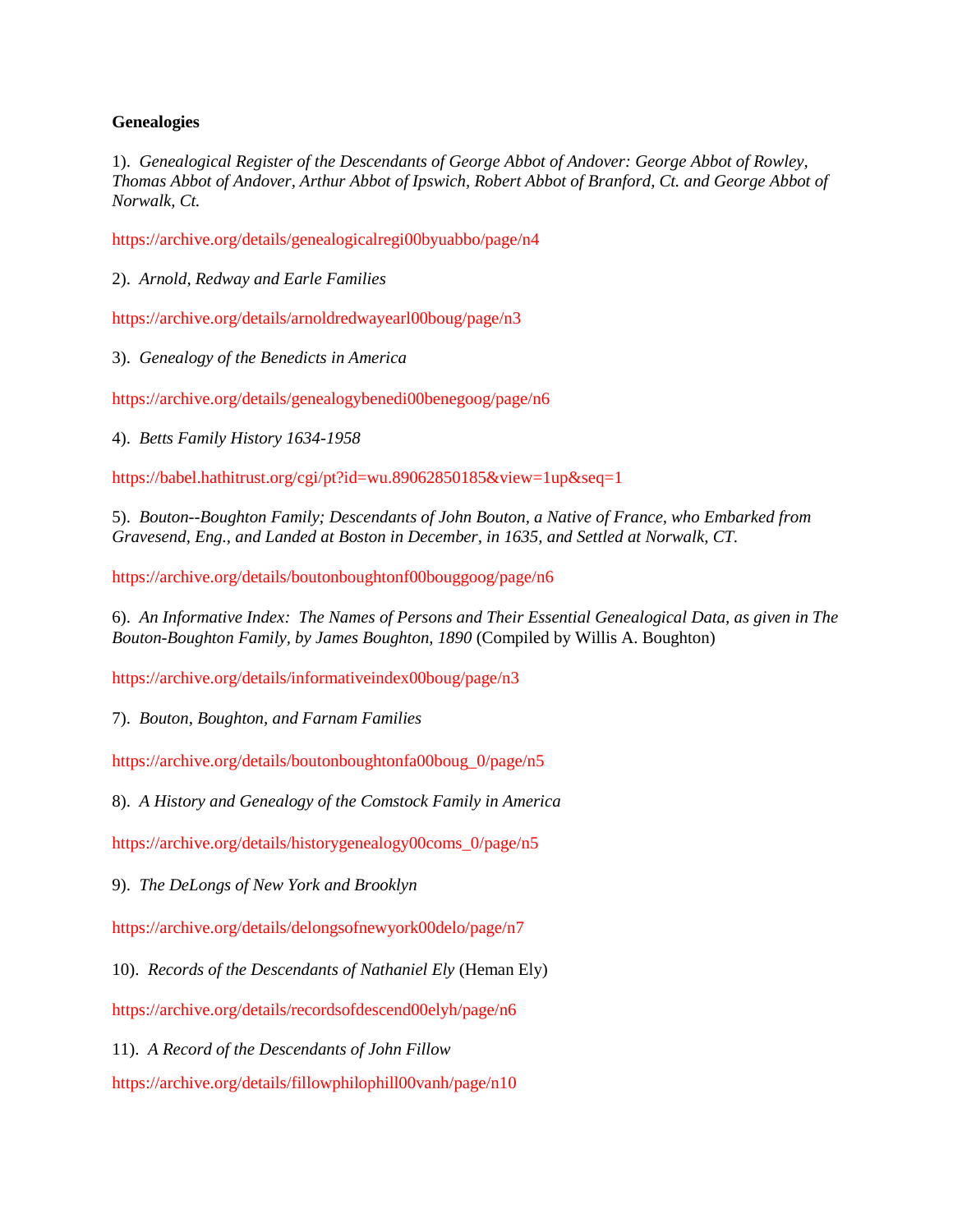## **Genealogies**

1). *Genealogical Register of the Descendants of George Abbot of Andover: George Abbot of Rowley, Thomas Abbot of Andover, Arthur Abbot of Ipswich, Robert Abbot of Branford, Ct. and George Abbot of Norwalk, Ct.*

<https://archive.org/details/genealogicalregi00byuabbo/page/n4>

2). *Arnold, Redway and Earle Families*

<https://archive.org/details/arnoldredwayearl00boug/page/n3>

3). *Genealogy of the Benedicts in America*

<https://archive.org/details/genealogybenedi00benegoog/page/n6>

4). *Betts Family History 1634-1958*

<https://babel.hathitrust.org/cgi/pt?id=wu.89062850185&view=1up&seq=1>

5). *Bouton--Boughton Family; Descendants of John Bouton, a Native of France, who Embarked from Gravesend, Eng., and Landed at Boston in December, in 1635, and Settled at Norwalk, CT.*

<https://archive.org/details/boutonboughtonf00bouggoog/page/n6>

6). *An Informative Index: The Names of Persons and Their Essential Genealogical Data, as given in The Bouton-Boughton Family, by James Boughton, 1890* (Compiled by Willis A. Boughton)

<https://archive.org/details/informativeindex00boug/page/n3>

7). *Bouton, Boughton, and Farnam Families*

[https://archive.org/details/boutonboughtonfa00boug\\_0/page/n5](https://archive.org/details/boutonboughtonfa00boug_0/page/n5)

8). *A History and Genealogy of the Comstock Family in America*

[https://archive.org/details/historygenealogy00coms\\_0/page/n5](https://archive.org/details/historygenealogy00coms_0/page/n5)

9). *The DeLongs of New York and Brooklyn*

<https://archive.org/details/delongsofnewyork00delo/page/n7>

10). *Records of the Descendants of Nathaniel Ely* (Heman Ely)

<https://archive.org/details/recordsofdescend00elyh/page/n6>

11). *A Record of the Descendants of John Fillow*

<https://archive.org/details/fillowphilophill00vanh/page/n10>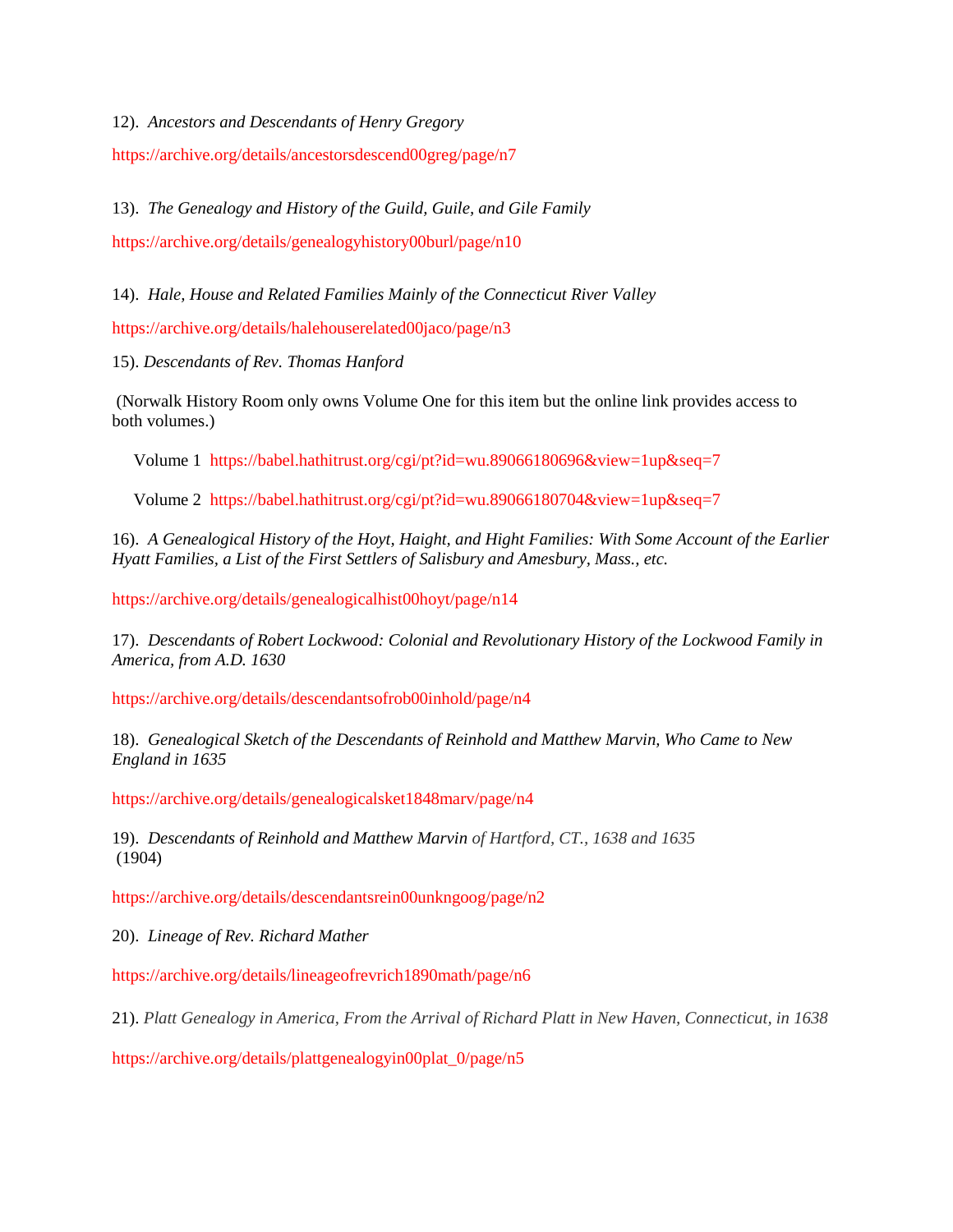12). *Ancestors and Descendants of Henry Gregory*

<https://archive.org/details/ancestorsdescend00greg/page/n7>

13). *The Genealogy and History of the Guild, Guile, and Gile Family*

<https://archive.org/details/genealogyhistory00burl/page/n10>

14). *Hale, House and Related Families Mainly of the Connecticut River Valley*

<https://archive.org/details/halehouserelated00jaco/page/n3>

15). *Descendants of Rev. Thomas Hanford* 

(Norwalk History Room only owns Volume One for this item but the online link provides access to both volumes.)

Volume 1 <https://babel.hathitrust.org/cgi/pt?id=wu.89066180696&view=1up&seq=7>

Volume 2 <https://babel.hathitrust.org/cgi/pt?id=wu.89066180704&view=1up&seq=7>

16). *A Genealogical History of the Hoyt, Haight, and Hight Families: With Some Account of the Earlier Hyatt Families, a List of the First Settlers of Salisbury and Amesbury, Mass., etc.*

<https://archive.org/details/genealogicalhist00hoyt/page/n14>

17). *Descendants of Robert Lockwood: Colonial and Revolutionary History of the Lockwood Family in America, from A.D. 1630*

<https://archive.org/details/descendantsofrob00inhold/page/n4>

18). *Genealogical Sketch of the Descendants of Reinhold and Matthew Marvin, Who Came to New England in 1635*

<https://archive.org/details/genealogicalsket1848marv/page/n4>

19). *Descendants of Reinhold and Matthew Marvin of Hartford, CT., 1638 and 1635* (1904)

<https://archive.org/details/descendantsrein00unkngoog/page/n2>

20). *Lineage of Rev. Richard Mather*

<https://archive.org/details/lineageofrevrich1890math/page/n6>

21). *Platt Genealogy in America, From the Arrival of Richard Platt in New Haven, Connecticut, in 1638*

[https://archive.org/details/plattgenealogyin00plat\\_0/page/n5](https://archive.org/details/plattgenealogyin00plat_0/page/n5)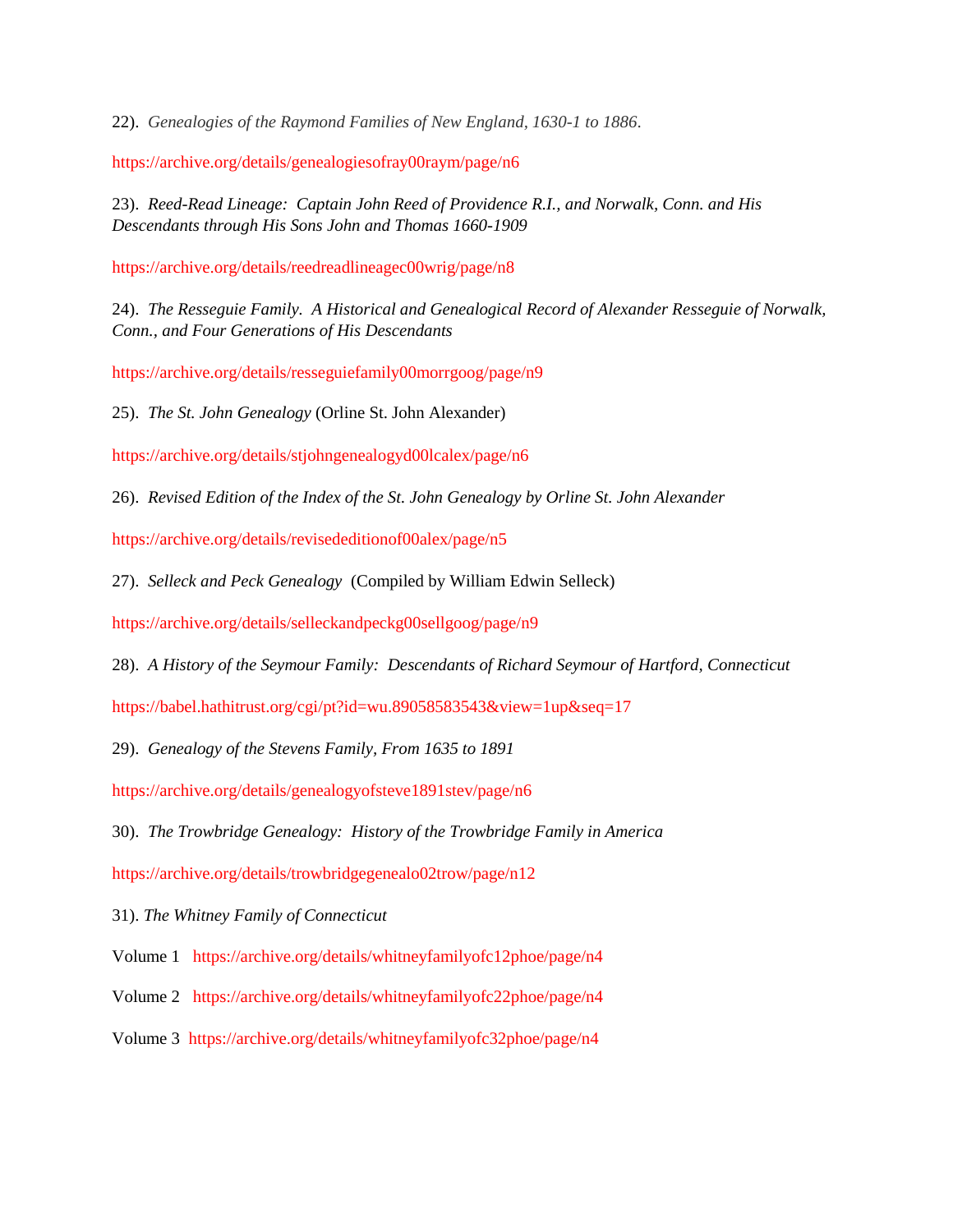22). *Genealogies of the Raymond Families of New England, 1630-1 to 1886*.

<https://archive.org/details/genealogiesofray00raym/page/n6>

23). *Reed-Read Lineage: Captain John Reed of Providence R.I., and Norwalk, Conn. and His Descendants through His Sons John and Thomas 1660-1909* 

<https://archive.org/details/reedreadlineagec00wrig/page/n8>

24). *The Resseguie Family. A Historical and Genealogical Record of Alexander Resseguie of Norwalk, Conn., and Four Generations of His Descendants*

<https://archive.org/details/resseguiefamily00morrgoog/page/n9>

25). *The St. John Genealogy* (Orline St. John Alexander)

<https://archive.org/details/stjohngenealogyd00lcalex/page/n6>

26). *Revised Edition of the Index of the St. John Genealogy by Orline St. John Alexander*

<https://archive.org/details/revisededitionof00alex/page/n5>

27). *Selleck and Peck Genealogy* (Compiled by William Edwin Selleck)

<https://archive.org/details/selleckandpeckg00sellgoog/page/n9>

28). *A History of the Seymour Family: Descendants of Richard Seymour of Hartford, Connecticut*

<https://babel.hathitrust.org/cgi/pt?id=wu.89058583543&view=1up&seq=17>

29). *Genealogy of the Stevens Family, From 1635 to 1891*

<https://archive.org/details/genealogyofsteve1891stev/page/n6>

30). *The Trowbridge Genealogy: History of the Trowbridge Family in America*

<https://archive.org/details/trowbridgegenealo02trow/page/n12>

31). *The Whitney Family of Connecticut*

Volume 1 <https://archive.org/details/whitneyfamilyofc12phoe/page/n4>

Volume 2 <https://archive.org/details/whitneyfamilyofc22phoe/page/n4>

Volume 3 <https://archive.org/details/whitneyfamilyofc32phoe/page/n4>